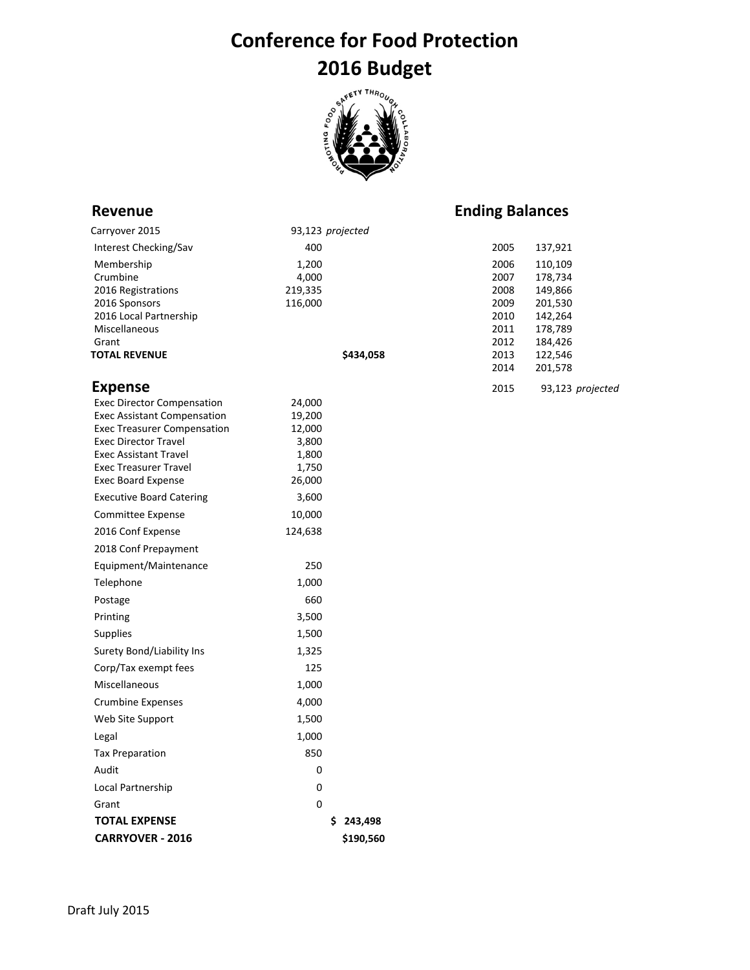# **Conference for Food Protection 2016 Budget**



### **Revenue Ending Balances**

| Carryover 2015                                               | 93,123 projected |      |                  |
|--------------------------------------------------------------|------------------|------|------------------|
| Interest Checking/Sav                                        | 400              | 2005 | 137,921          |
| Membership                                                   | 1,200            | 2006 | 110,109          |
| Crumbine                                                     | 4,000            | 2007 | 178,734          |
| 2016 Registrations                                           | 219,335          | 2008 | 149,866          |
| 2016 Sponsors                                                | 116,000          | 2009 | 201,530          |
| 2016 Local Partnership                                       |                  | 2010 | 142,264          |
| Miscellaneous                                                |                  | 2011 | 178,789          |
| Grant                                                        |                  | 2012 | 184,426          |
| <b>TOTAL REVENUE</b>                                         | \$434,058        | 2013 | 122,546          |
|                                                              |                  | 2014 | 201,578          |
| <b>Expense</b>                                               |                  | 2015 | 93,123 projected |
| <b>Exec Director Compensation</b>                            | 24,000           |      |                  |
| <b>Exec Assistant Compensation</b>                           | 19,200           |      |                  |
| <b>Exec Treasurer Compensation</b>                           | 12,000           |      |                  |
| <b>Exec Director Travel</b>                                  | 3,800            |      |                  |
| <b>Exec Assistant Travel</b><br><b>Exec Treasurer Travel</b> | 1,800<br>1,750   |      |                  |
| <b>Exec Board Expense</b>                                    | 26,000           |      |                  |
| <b>Executive Board Catering</b>                              | 3,600            |      |                  |
| Committee Expense                                            | 10,000           |      |                  |
| 2016 Conf Expense                                            | 124,638          |      |                  |
| 2018 Conf Prepayment                                         |                  |      |                  |
| Equipment/Maintenance                                        | 250              |      |                  |
| Telephone                                                    | 1,000            |      |                  |
| Postage                                                      | 660              |      |                  |
| Printing                                                     | 3,500            |      |                  |
| Supplies                                                     | 1,500            |      |                  |
| Surety Bond/Liability Ins                                    | 1,325            |      |                  |
| Corp/Tax exempt fees                                         | 125              |      |                  |
| Miscellaneous                                                | 1,000            |      |                  |
| <b>Crumbine Expenses</b>                                     | 4,000            |      |                  |
| Web Site Support                                             | 1,500            |      |                  |
| Legal                                                        | 1,000            |      |                  |
| <b>Tax Preparation</b>                                       | 850              |      |                  |
| Audit                                                        | 0                |      |                  |
| Local Partnership                                            | $\boldsymbol{0}$ |      |                  |
| Grant                                                        | $\mathbf 0$      |      |                  |
| <b>TOTAL EXPENSE</b>                                         | \$243,498        |      |                  |
| <b>CARRYOVER - 2016</b>                                      | \$190,560        |      |                  |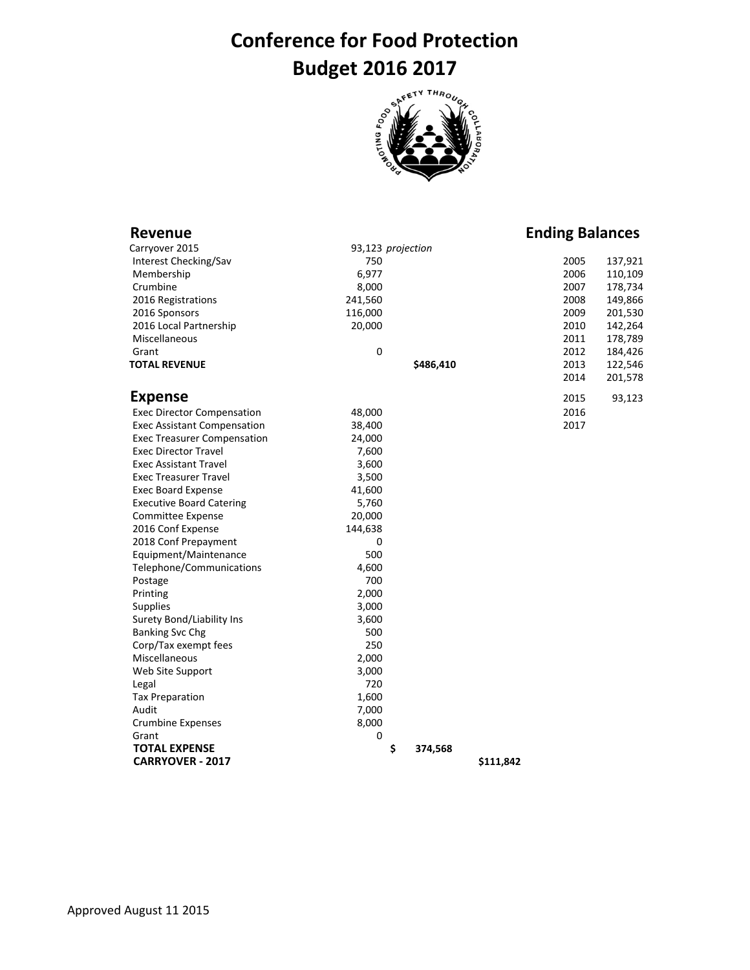# **Conference for Food Protection Budget 2016 2017**



| Revenue                            |                   |               |           | <b>Ending Balances</b> |         |
|------------------------------------|-------------------|---------------|-----------|------------------------|---------|
| Carryover 2015                     | 93,123 projection |               |           |                        |         |
| Interest Checking/Sav              | 750               |               |           | 2005                   | 137,921 |
| Membership                         | 6,977             |               |           | 2006                   | 110,109 |
| Crumbine                           | 8,000             |               |           | 2007                   | 178,734 |
| 2016 Registrations                 | 241,560           |               |           | 2008                   | 149,866 |
| 2016 Sponsors                      | 116,000           |               |           | 2009                   | 201,530 |
| 2016 Local Partnership             | 20,000            |               |           | 2010                   | 142,264 |
| Miscellaneous                      |                   |               |           | 2011                   | 178,789 |
| Grant                              | 0                 |               |           | 2012                   | 184,426 |
| <b>TOTAL REVENUE</b>               |                   | \$486,410     |           | 2013                   | 122,546 |
|                                    |                   |               |           | 2014                   | 201,578 |
| <b>Expense</b>                     |                   |               |           | 2015                   | 93,123  |
| <b>Exec Director Compensation</b>  | 48,000            |               |           | 2016                   |         |
| <b>Exec Assistant Compensation</b> | 38,400            |               |           | 2017                   |         |
| <b>Exec Treasurer Compensation</b> | 24,000            |               |           |                        |         |
| <b>Exec Director Travel</b>        | 7,600             |               |           |                        |         |
| <b>Exec Assistant Travel</b>       | 3,600             |               |           |                        |         |
| <b>Exec Treasurer Travel</b>       | 3,500             |               |           |                        |         |
| <b>Exec Board Expense</b>          | 41,600            |               |           |                        |         |
| <b>Executive Board Catering</b>    | 5,760             |               |           |                        |         |
| <b>Committee Expense</b>           | 20,000            |               |           |                        |         |
| 2016 Conf Expense                  | 144,638           |               |           |                        |         |
| 2018 Conf Prepayment               | 0                 |               |           |                        |         |
| Equipment/Maintenance              | 500               |               |           |                        |         |
| Telephone/Communications           | 4,600             |               |           |                        |         |
| Postage                            | 700               |               |           |                        |         |
| Printing                           | 2,000             |               |           |                        |         |
| <b>Supplies</b>                    | 3,000             |               |           |                        |         |
| Surety Bond/Liability Ins          | 3,600             |               |           |                        |         |
| <b>Banking Svc Chg</b>             | 500               |               |           |                        |         |
| Corp/Tax exempt fees               | 250               |               |           |                        |         |
| Miscellaneous                      | 2,000             |               |           |                        |         |
| Web Site Support                   | 3,000             |               |           |                        |         |
| Legal                              | 720               |               |           |                        |         |
| <b>Tax Preparation</b>             | 1,600             |               |           |                        |         |
| Audit                              | 7,000             |               |           |                        |         |
| <b>Crumbine Expenses</b>           | 8,000             |               |           |                        |         |
| Grant                              | 0                 |               |           |                        |         |
| <b>TOTAL EXPENSE</b>               |                   | \$<br>374,568 |           |                        |         |
| <b>CARRYOVER - 2017</b>            |                   |               | \$111,842 |                        |         |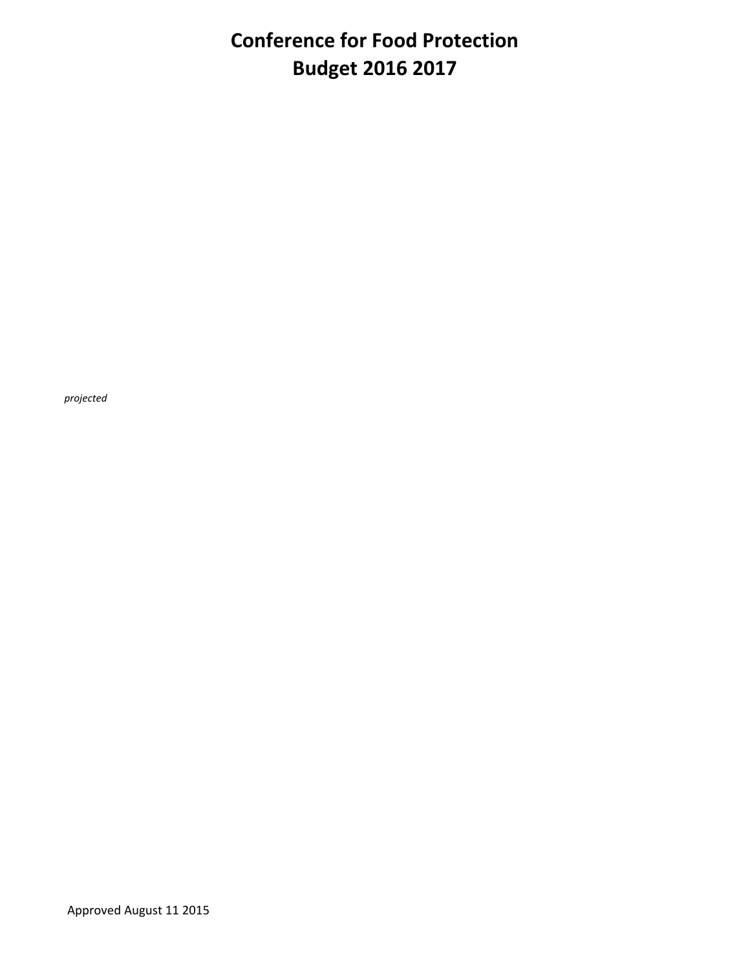## **Conference for Food Protection Budget 2016 2017**

*projected*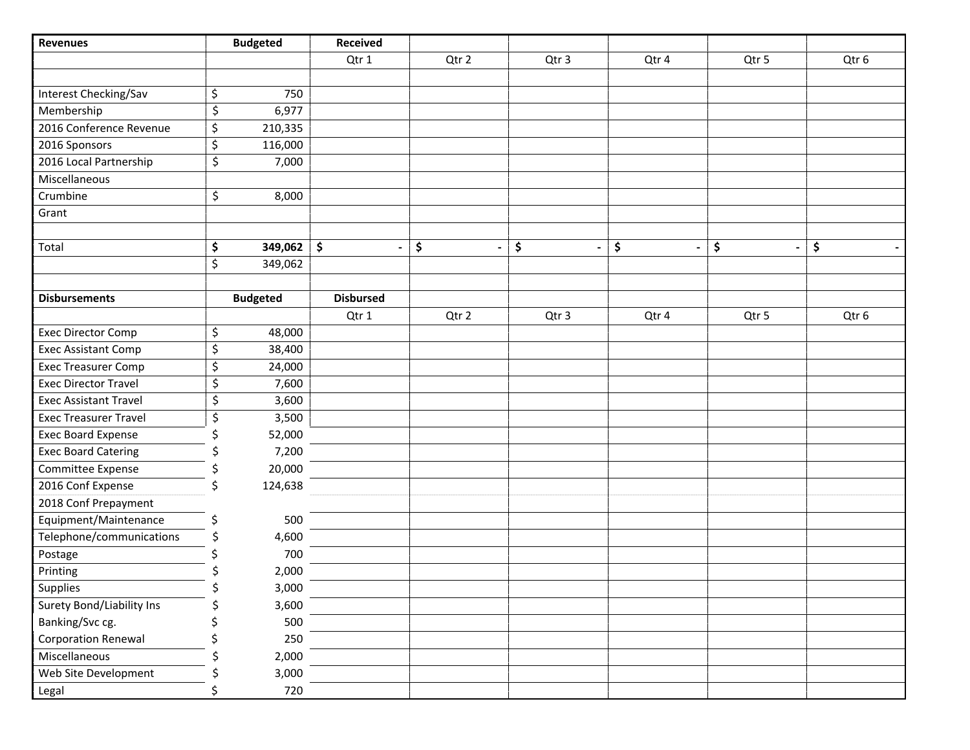| <b>Revenues</b>              |    | <b>Budgeted</b> | <b>Received</b>     |       |       |                                |                                |       |
|------------------------------|----|-----------------|---------------------|-------|-------|--------------------------------|--------------------------------|-------|
|                              |    |                 | Qtr 1               | Qtr 2 | Qtr 3 | Qtr 4                          | Qtr 5                          | Qtr 6 |
|                              |    |                 |                     |       |       |                                |                                |       |
| Interest Checking/Sav        | \$ | 750             |                     |       |       |                                |                                |       |
| Membership                   | \$ | 6,977           |                     |       |       |                                |                                |       |
| 2016 Conference Revenue      | \$ | 210,335         |                     |       |       |                                |                                |       |
| 2016 Sponsors                | \$ | 116,000         |                     |       |       |                                |                                |       |
| 2016 Local Partnership       | \$ | 7,000           |                     |       |       |                                |                                |       |
| Miscellaneous                |    |                 |                     |       |       |                                |                                |       |
| Crumbine                     | \$ | 8,000           |                     |       |       |                                |                                |       |
| Grant                        |    |                 |                     |       |       |                                |                                |       |
|                              |    |                 |                     |       |       |                                |                                |       |
| Total                        | \$ | 349,062         | $\ddot{\bm{\zeta}}$ | \$    | \$    | \$<br>$\overline{\phantom{a}}$ | \$<br>$\overline{\phantom{a}}$ | \$    |
|                              | \$ | 349,062         |                     |       |       |                                |                                |       |
|                              |    |                 |                     |       |       |                                |                                |       |
| <b>Disbursements</b>         |    | <b>Budgeted</b> | <b>Disbursed</b>    |       |       |                                |                                |       |
|                              |    |                 | Qtr 1               | Qtr 2 | Qtr 3 | Qtr 4                          | Qtr 5                          | Qtr 6 |
| <b>Exec Director Comp</b>    | \$ | 48,000          |                     |       |       |                                |                                |       |
| <b>Exec Assistant Comp</b>   | \$ | 38,400          |                     |       |       |                                |                                |       |
| <b>Exec Treasurer Comp</b>   | \$ | 24,000          |                     |       |       |                                |                                |       |
| <b>Exec Director Travel</b>  | \$ | 7,600           |                     |       |       |                                |                                |       |
| <b>Exec Assistant Travel</b> | \$ | 3,600           |                     |       |       |                                |                                |       |
| <b>Exec Treasurer Travel</b> | \$ | 3,500           |                     |       |       |                                |                                |       |
| <b>Exec Board Expense</b>    |    | 52,000          |                     |       |       |                                |                                |       |
| <b>Exec Board Catering</b>   |    | 7,200           |                     |       |       |                                |                                |       |
| Committee Expense            |    | 20,000          |                     |       |       |                                |                                |       |
| 2016 Conf Expense            |    | 124,638         |                     |       |       |                                |                                |       |
| 2018 Conf Prepayment         |    |                 |                     |       |       |                                |                                |       |
| Equipment/Maintenance        | \$ | 500             |                     |       |       |                                |                                |       |
| Telephone/communications     | Ś  | 4,600           |                     |       |       |                                |                                |       |
| Postage                      |    | 700             |                     |       |       |                                |                                |       |
| Printing                     |    | 2,000           |                     |       |       |                                |                                |       |
| Supplies                     | Ś  | 3,000           |                     |       |       |                                |                                |       |
| Surety Bond/Liability Ins    |    | 3,600           |                     |       |       |                                |                                |       |
| Banking/Svc cg.              |    | 500             |                     |       |       |                                |                                |       |
| <b>Corporation Renewal</b>   |    | 250             |                     |       |       |                                |                                |       |
| Miscellaneous                |    | 2,000           |                     |       |       |                                |                                |       |
| Web Site Development         |    | 3,000           |                     |       |       |                                |                                |       |
| Legal                        |    | 720             |                     |       |       |                                |                                |       |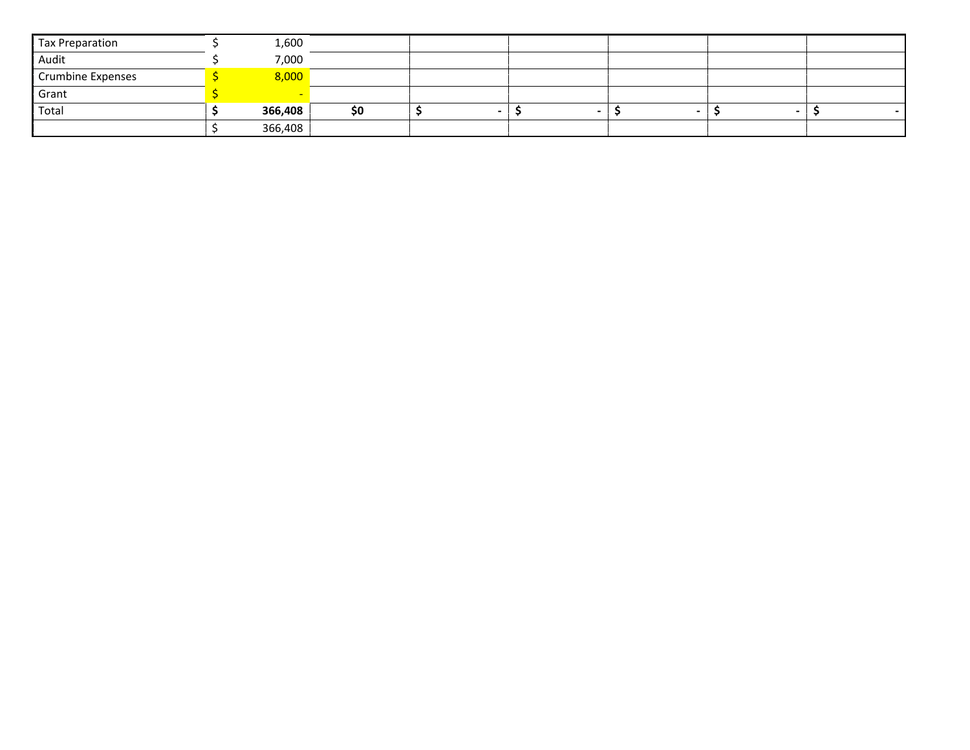| Tax Preparation          | 1,600   |    |  |  |  |
|--------------------------|---------|----|--|--|--|
| Audit                    | 7,000   |    |  |  |  |
| <b>Crumbine Expenses</b> | 8.000   |    |  |  |  |
| Grant                    |         |    |  |  |  |
| Total                    | 366,408 | S0 |  |  |  |
|                          | 366,408 |    |  |  |  |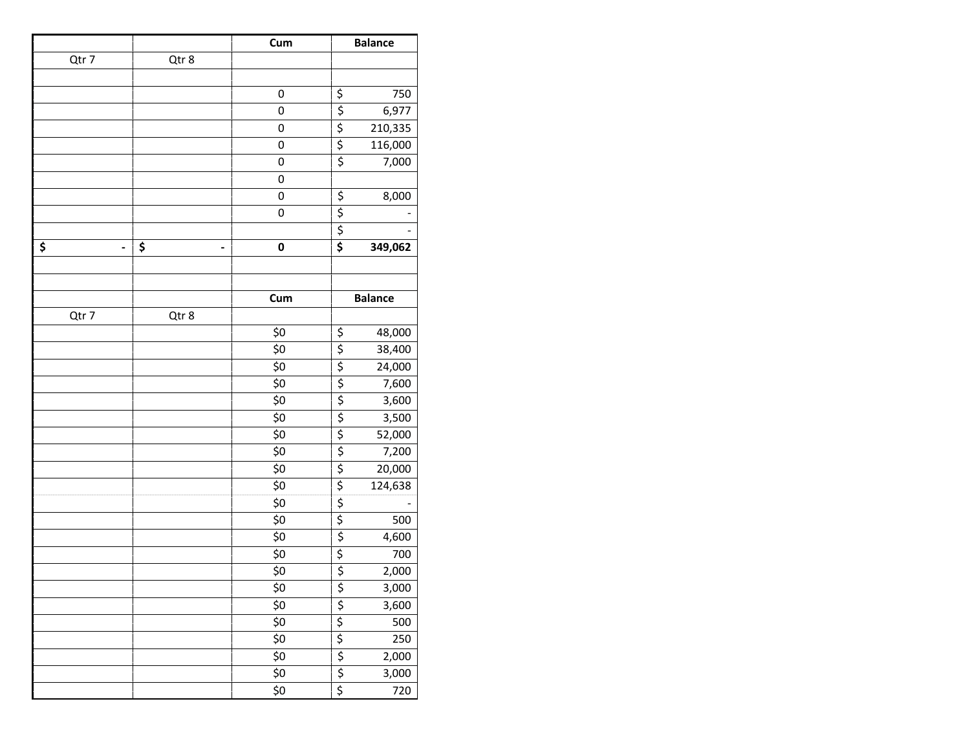|       |              | Cum         |                                 | <b>Balance</b> |
|-------|--------------|-------------|---------------------------------|----------------|
| Qtr 7 | Qtr 8        |             |                                 |                |
|       |              |             |                                 |                |
|       |              | 0           | \$                              | 750            |
|       |              | $\mathbf 0$ | $\overline{\xi}$                | 6,977          |
|       |              | 0           | \$                              | 210,335        |
|       |              | $\mathbf 0$ | \$                              | 116,000        |
|       |              | 0           | $\overline{\xi}$                | 7,000          |
|       |              | 0           |                                 |                |
|       |              | $\pmb{0}$   | \$                              | 8,000          |
|       |              | 0           | $\overline{\xi}$                |                |
|       |              |             | $\overline{\xi}$                |                |
| \$    | \$<br>٠<br>٠ | 0           | \$                              | 349,062        |
|       |              |             |                                 |                |
|       |              |             |                                 |                |
|       |              | Cum         |                                 | <b>Balance</b> |
| Qtr 7 | Qtr 8        |             |                                 |                |
|       |              | \$0         | $\frac{5}{5}$                   | 48,000         |
|       |              | \$0         |                                 | 38,400         |
|       |              | \$0         | $\frac{1}{5}$<br>$\frac{5}{5}$  | 24,000         |
|       |              | \$0         |                                 | 7,600          |
|       |              | \$0         |                                 | 3,600          |
|       |              | \$0         | \$                              | 3,500          |
|       |              | \$0         | \$                              | 52,000         |
|       |              | \$0         | $\overline{\xi}$                | 7,200          |
|       |              | \$0         | $\overline{\xi}$                | 20,000         |
|       |              | \$0         | $\overline{\xi}$                | 124,638        |
|       |              | \$0         | $\overline{\xi}$                |                |
|       |              | \$0         | $\overline{\xi}$                | 500            |
|       |              | \$0         | $\overline{\xi}$                | 4,600          |
|       |              | \$0         | \$                              | 700            |
|       |              | \$0         | $\overline{\boldsymbol{\zeta}}$ | 2,000          |
|       |              | \$0         | $\frac{1}{2}$                   | 3,000          |
|       |              | \$0         |                                 | 3,600          |
|       |              | \$0         | $\overline{\xi}$                | 500            |
|       |              | \$0         | $\overline{\varsigma}$          | 250            |
|       |              | \$0         | $\frac{1}{5}$<br>$\frac{5}{5}$  | 2,000          |
|       |              | \$0         |                                 | 3,000          |
|       |              | \$0         |                                 | 720            |